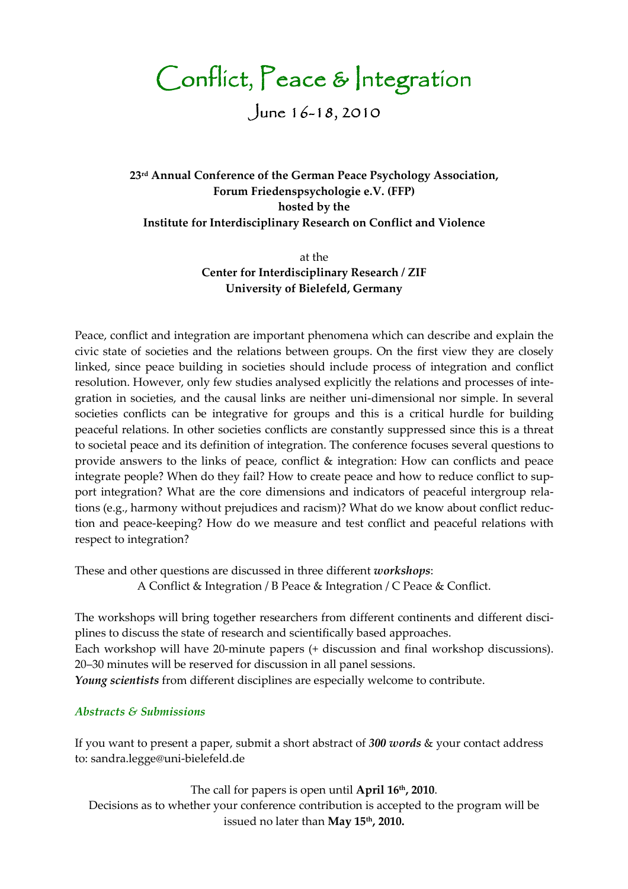Conflict, Peace & Integration

June  $16 - 18, 2010$ 

23<sup>rd</sup> Annual Conference of the German Peace Psychology Association, Forum Friedenspsychologie e.V. (FFP) hosted by the Institute for Interdisciplinary Research on Conflict and Violence

> at the Center for Interdisciplinary Research / ZIF University of Bielefeld, Germany

Peace, conflict and integration are important phenomena which can describe and explain the civic state of societies and the relations between groups. On the first view they are closely linked, since peace building in societies should include process of integration and conflict resolution. However, only few studies analysed explicitly the relations and processes of integration in societies, and the causal links are neither uni-dimensional nor simple. In several societies conflicts can be integrative for groups and this is a critical hurdle for building peaceful relations. In other societies conflicts are constantly suppressed since this is a threat to societal peace and its definition of integration. The conference focuses several questions to provide answers to the links of peace, conflict & integration: How can conflicts and peace integrate people? When do they fail? How to create peace and how to reduce conflict to support integration? What are the core dimensions and indicators of peaceful intergroup relations (e.g., harmony without prejudices and racism)? What do we know about conflict reduction and peace-keeping? How do we measure and test conflict and peaceful relations with respect to integration?

These and other questions are discussed in three different workshops:

A Conflict & Integration / B Peace & Integration / C Peace & Conflict.

The workshops will bring together researchers from different continents and different disciplines to discuss the state of research and scientifically based approaches. Each workshop will have 20-minute papers (+ discussion and final workshop discussions). 20–30 minutes will be reserved for discussion in all panel sessions. Young scientists from different disciplines are especially welcome to contribute.

# Abstracts & Submissions

If you want to present a paper, submit a short abstract of 300 words & your contact address to: sandra.legge@uni-bielefeld.de

The call for papers is open until April 16<sup>th</sup>, 2010. Decisions as to whether your conference contribution is accepted to the program will be issued no later than May 15<sup>th</sup>, 2010.